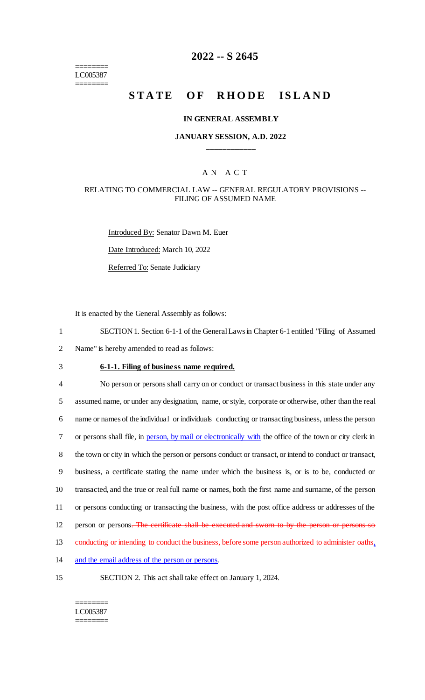======== LC005387 ========

# **2022 -- S 2645**

# **STATE OF RHODE ISLAND**

#### **IN GENERAL ASSEMBLY**

### **JANUARY SESSION, A.D. 2022 \_\_\_\_\_\_\_\_\_\_\_\_**

#### A N A C T

### RELATING TO COMMERCIAL LAW -- GENERAL REGULATORY PROVISIONS -- FILING OF ASSUMED NAME

Introduced By: Senator Dawn M. Euer Date Introduced: March 10, 2022 Referred To: Senate Judiciary

It is enacted by the General Assembly as follows:

1 SECTION 1. Section 6-1-1 of the General Laws in Chapter 6-1 entitled "Filing of Assumed 2 Name" is hereby amended to read as follows:

# 3 **6-1-1. Filing of business name required.**

 No person or persons shall carry on or conduct or transact business in this state under any assumed name, or under any designation, name, or style, corporate or otherwise, other than the real name or names of the individual or individuals conducting or transacting business, unless the person 7 or persons shall file, in person, by mail or electronically with the office of the town or city clerk in the town or city in which the person or persons conduct or transact, or intend to conduct or transact, business, a certificate stating the name under which the business is, or is to be, conducted or transacted, and the true or real full name or names, both the first name and surname, of the person or persons conducting or transacting the business, with the post office address or addresses of the 12 person or persons. The certificate shall be executed and sworn to by the person or persons so 13 conducting or intending to conduct the business, before some person authorized to administer oaths, 14 and the email address of the person or persons.

15 SECTION 2. This act shall take effect on January 1, 2024.

======== LC005387 ========